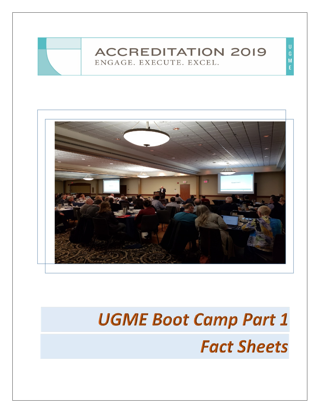



# **UGME Boot Camp Part 1 Fact Sheets**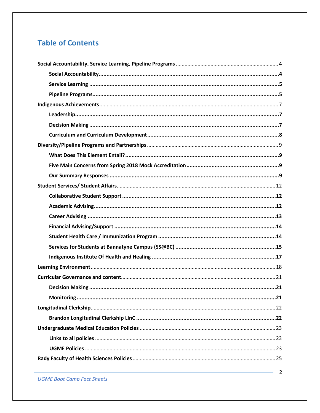# **Table of Contents**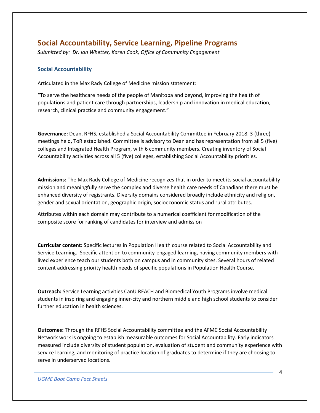# <span id="page-3-0"></span>**Social Accountability, Service Learning, Pipeline Programs**

*Submitted by: Dr. Ian Whetter, Karen Cook, Office of Community Engagement*

## <span id="page-3-1"></span>**Social Accountability**

Articulated in the Max Rady College of Medicine mission statement:

"To serve the healthcare needs of the people of Manitoba and beyond, improving the health of populations and patient care through partnerships, leadership and innovation in medical education, research, clinical practice and community engagement."

**Governance:** Dean, RFHS, established a Social Accountability Committee in February 2018. 3 (three) meetings held, ToR established. Committee is advisory to Dean and has representation from all 5 (five) colleges and Integrated Health Program, with 6 community members. Creating inventory of Social Accountability activities across all 5 (five) colleges, establishing Social Accountability priorities.

**Admissions:** The Max Rady College of Medicine recognizes that in order to meet its social accountability mission and meaningfully serve the complex and diverse health care needs of Canadians there must be enhanced diversity of registrants. Diversity domains considered broadly include ethnicity and religion, gender and sexual orientation, geographic origin, socioeconomic status and rural attributes.

Attributes within each domain may contribute to a numerical coefficient for modification of the composite score for ranking of candidates for interview and admission

**Curricular content:** Specific lectures in Population Health course related to Social Accountability and Service Learning. Specific attention to community-engaged learning, having community members with lived experience teach our students both on campus and in community sites. Several hours of related content addressing priority health needs of specific populations in Population Health Course.

**Outreach:** Service Learning activities CanU REACH and Biomedical Youth Programs involve medical students in inspiring and engaging inner-city and northern middle and high school students to consider further education in health sciences.

**Outcomes:** Through the RFHS Social Accountability committee and the AFMC Social Accountability Network work is ongoing to establish measurable outcomes for Social Accountability. Early indicators measured include diversity of student population, evaluation of student and community experience with service learning, and monitoring of practice location of graduates to determine if they are choosing to serve in underserved locations.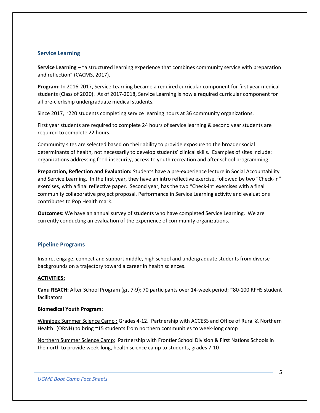## <span id="page-4-0"></span>**Service Learning**

**Service Learning** – "a structured learning experience that combines community service with preparation and reflection" (CACMS, 2017).

**Program:** In 2016-2017, Service Learning became a required curricular component for first year medical students (Class of 2020). As of 2017-2018, Service Learning is now a required curricular component for all pre-clerkship undergraduate medical students.

Since 2017, ~220 students completing service learning hours at 36 community organizations.

First year students are required to complete 24 hours of service learning & second year students are required to complete 22 hours.

Community sites are selected based on their ability to provide exposure to the broader social determinants of health, not necessarily to develop students' clinical skills. Examples of sites include: organizations addressing food insecurity, access to youth recreation and after school programming.

**Preparation, Reflection and Evaluation:** Students have a pre-experience lecture in Social Accountability and Service Learning. In the first year, they have an intro reflective exercise, followed by two "Check-in" exercises, with a final reflective paper. Second year, has the two "Check-in" exercises with a final community collaborative project proposal. Performance in Service Learning activity and evaluations contributes to Pop Health mark.

**Outcomes:** We have an annual survey of students who have completed Service Learning. We are currently conducting an evaluation of the experience of community organizations.

## <span id="page-4-1"></span>**Pipeline Programs**

Inspire, engage, connect and support middle, high school and undergraduate students from diverse backgrounds on a trajectory toward a career in health sciences.

#### **ACTIVITIES:**

**Canu REACH:** After School Program (gr. 7-9); 70 participants over 14-week period; ~80-100 RFHS student facilitators

#### **Biomedical Youth Program:**

Winnipeg Summer Science Camp : Grades 4-12. Partnership with ACCESS and Office of Rural & Northern Health (ORNH) to bring ~15 students from northern communities to week-long camp

Northern Summer Science Camp:Partnership with Frontier School Division & First Nations Schools in the north to provide week-long, health science camp to students, grades 7-10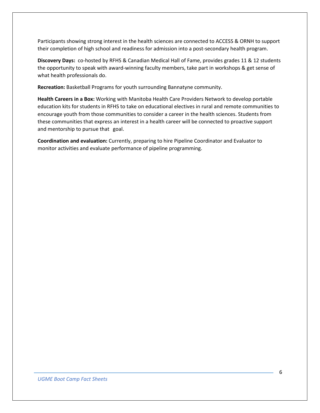Participants showing strong interest in the health sciences are connected to ACCESS & ORNH to support their completion of high school and readiness for admission into a post-secondary health program.

**Discovery Days:** co-hosted by RFHS & Canadian Medical Hall of Fame, provides grades 11 & 12 students the opportunity to speak with award-winning faculty members, take part in workshops & get sense of what health professionals do.

**Recreation:** Basketball Programs for youth surrounding Bannatyne community.

**Health Careers in a Box:** Working with Manitoba Health Care Providers Network to develop portable education kits for students in RFHS to take on educational electives in rural and remote communities to encourage youth from those communities to consider a career in the health sciences. Students from these communities that express an interest in a health career will be connected to proactive support and mentorship to pursue that goal.

**Coordination and evaluation:** Currently, preparing to hire Pipeline Coordinator and Evaluator to monitor activities and evaluate performance of pipeline programming.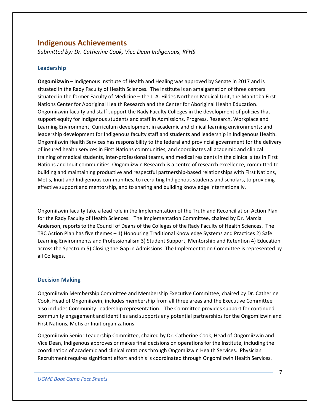## <span id="page-6-0"></span>**Indigenous Achievements**

*Submitted by: Dr. Catherine Cook, Vice Dean Indigenous, RFHS*

## <span id="page-6-1"></span>**Leadership**

**Ongomiizwin** – Indigenous Institute of Health and Healing was approved by Senate in 2017 and is situated in the Rady Faculty of Health Sciences. The Institute is an amalgamation of three centers situated in the former Faculty of Medicine – the J. A. Hildes Northern Medical Unit, the Manitoba First Nations Center for Aboriginal Health Research and the Center for Aboriginal Health Education. Ongomiizwin faculty and staff support the Rady Faculty Colleges in the development of policies that support equity for Indigenous students and staff in Admissions, Progress, Research, Workplace and Learning Environment; Curriculum development in academic and clinical learning environments; and leadership development for Indigenous faculty staff and students and leadership in Indigenous Health. Ongomiizwin Health Services has responsibility to the federal and provincial government for the delivery of insured health services in First Nations communities, and coordinates all academic and clinical training of medical students, inter-professional teams, and medical residents in the clinical sites in First Nations and Inuit communities. Ongomiizwin Research is a centre of research excellence, committed to building and maintaining productive and respectful partnership-based relationships with First Nations, Metis, Inuit and Indigenous communities, to recruiting Indigenous students and scholars, to providing effective support and mentorship, and to sharing and building knowledge internationally.

Ongomiizwin faculty take a lead role in the Implementation of the Truth and Reconciliation Action Plan for the Rady Faculty of Health Sciences. The Implementation Committee, chaired by Dr. Marcia Anderson, reports to the Council of Deans of the Colleges of the Rady Faculty of Health Sciences. The TRC Action Plan has five themes – 1) Honouring Traditional Knowledge Systems and Practices 2) Safe Learning Environments and Professionalism 3) Student Support, Mentorship and Retention 4) Education across the Spectrum 5) Closing the Gap in Admissions. The Implementation Committee is represented by all Colleges.

## <span id="page-6-2"></span>**Decision Making**

Ongomiizwin Membership Committee and Membership Executive Committee, chaired by Dr. Catherine Cook, Head of Ongomiizwin, includes membership from all three areas and the Executive Committee also includes Community Leadership representation. The Committee provides support for continued community engagement and identifies and supports any potential partnerships for the Ongomiizwin and First Nations, Metis or Inuit organizations.

Ongomiizwin Senior Leadership Committee, chaired by Dr. Catherine Cook, Head of Ongomiizwin and Vice Dean, Indigenous approves or makes final decisions on operations for the Institute, including the coordination of academic and clinical rotations through Ongomiizwin Health Services. Physician Recruitment requires significant effort and this is coordinated through Ongomiizwin Health Services.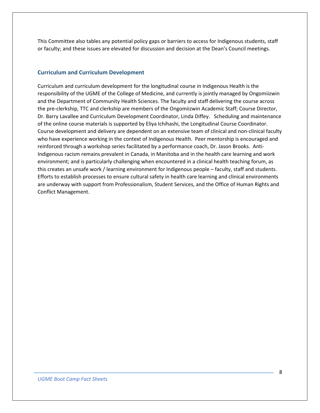This Committee also tables any potential policy gaps or barriers to access for Indigenous students, staff or faculty; and these issues are elevated for discussion and decision at the Dean's Council meetings.

#### <span id="page-7-0"></span>**Curriculum and Curriculum Development**

Curriculum and curriculum development for the longitudinal course in Indigenous Health is the responsibility of the UGME of the College of Medicine, and currently is jointly managed by Ongomiizwin and the Department of Community Health Sciences. The faculty and staff delivering the course across the pre-clerkship, TTC and clerkship are members of the Ongomiizwin Academic Staff; Course Director, Dr. Barry Lavallee and Curriculum Development Coordinator, Linda Diffey. Scheduling and maintenance of the online course materials is supported by Eliya Ichihashi, the Longitudinal Course Coordinator. Course development and delivery are dependent on an extensive team of clinical and non-clinical faculty who have experience working in the context of Indigenous Health. Peer mentorship is encouraged and reinforced through a workshop series facilitated by a performance coach, Dr. Jason Brooks. Anti-Indigenous racism remains prevalent in Canada, in Manitoba and in the health care learning and work environment; and is particularly challenging when encountered in a clinical health teaching forum, as this creates an unsafe work / learning environment for Indigenous people – faculty, staff and students. Efforts to establish processes to ensure cultural safety in health care learning and clinical environments are underway with support from Professionalism, Student Services, and the Office of Human Rights and Conflict Management.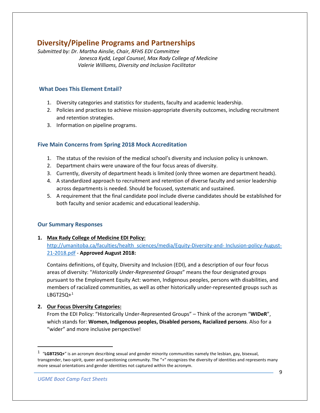## <span id="page-8-0"></span>**Diversity/Pipeline Programs and Partnerships**

*Submitted by: Dr. Martha Ainslie, Chair, RFHS EDI Committee Janesca Kydd, Legal Counsel, Max Rady College of Medicine Valerie Williams, Diversity and Inclusion Facilitator*

## <span id="page-8-1"></span>**What Does This Element Entail?**

- 1. Diversity categories and statistics for students, faculty and academic leadership.
- 2. Policies and practices to achieve mission-appropriate diversity outcomes, including recruitment and retention strategies.
- 3. Information on pipeline programs.

## <span id="page-8-2"></span>**Five Main Concerns from Spring 2018 Mock Accreditation**

- 1. The status of the revision of the medical school's diversity and inclusion policy is unknown.
- 2. Department chairs were unaware of the four focus areas of diversity.
- 3. Currently, diversity of department heads is limited (only three women are department heads).
- 4. A standardized approach to recruitment and retention of diverse faculty and senior leadership across departments is needed. Should be focused, systematic and sustained.
- 5. A requirement that the final candidate pool include diverse candidates should be established for both faculty and senior academic and educational leadership.

## <span id="page-8-3"></span>**Our Summary Responses**

## **1. Max Rady College of Medicine EDI Policy:**  [http://umanitoba.ca/faculties/health\\_sciences/media/Equity-Diversity-and-](http://umanitoba.ca/faculties/health_sciences/media/Equity-Diversity-and-%20Inclusion-policy-August-21-2018.pdf) Inclusion-policy-August-[21-2018.pdf](http://umanitoba.ca/faculties/health_sciences/media/Equity-Diversity-and-%20Inclusion-policy-August-21-2018.pdf) - **Approved August 2018:**

Contains definitions, of Equity, Diversity and Inclusion (EDI), and a description of our four focus areas of diversity: "*Historically Under-Represented Groups*" means the four designated groups pursuant to the Employment Equity Act: women, Indigenous peoples, persons with disabilities, and members of racialized communities, as well as other historically under-represented groups such as  $LBGT2SQ+1$  $LBGT2SQ+1$ 

## **2. Our Focus Diversity Categories:**

From the EDI Policy: "Historically Under-Represented Groups" – Think of the acronym "**WIDeR**", which stands for: **Women, Indigenous peoples, Disabled persons, Racialized persons**. Also for a "wider" and more inclusive perspective!

<span id="page-8-4"></span> <sup>1</sup> "**LGBT2SQ+**" is an acronym describing sexual and gender minority communities namely the lesbian, gay, bisexual, transgender, two-spirit, queer and questioning community. The "+" recognizes the diversity of identities and represents many more sexual orientations and gender identities not captured within the acronym.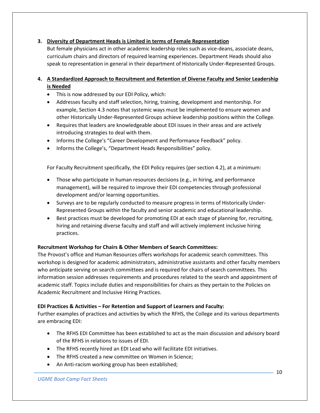## **3. Diversity of Department Heads is Limited in terms of Female Representation**

But female physicians act in other academic leadership roles such as vice-deans, associate deans, curriculum chairs and directors of required learning experiences. Department Heads should also speak to representation in general in their department of Historically Under-Represented Groups.

## **4. A Standardized Approach to Recruitment and Retention of Diverse Faculty and Senior Leadership is Needed**

- This is now addressed by our EDI Policy, which:
- Addresses faculty and staff selection, hiring, training, development and mentorship. For example, Section 4.3 notes that systemic ways must be implemented to ensure women and other Historically Under-Represented Groups achieve leadership positions within the College.
- Requires that leaders are knowledgeable about EDI issues in their areas and are actively introducing strategies to deal with them.
- Informs the College's "Career Development and Performance Feedback" policy.
- Informs the College's, "Department Heads Responsibilities" policy.

For Faculty Recruitment specifically, the EDI Policy requires (per section 4.2), at a minimum:

- Those who participate in human resources decisions (e.g., in hiring, and performance management), will be required to improve their EDI competencies through professional development and/or learning opportunities.
- Surveys are to be regularly conducted to measure progress in terms of Historically Under-Represented Groups within the faculty and senior academic and educational leadership.
- Best practices must be developed for promoting EDI at each stage of planning for, recruiting, hiring and retaining diverse faculty and staff and will actively implement inclusive hiring practices.

## **Recruitment Workshop for Chairs & Other Members of Search Committees:**

The Provost's office and Human Resources offers workshops for academic search committees. This workshop is designed for academic administrators, administrative assistants and other faculty members who anticipate serving on search committees and is required for chairs of search committees. This information session addresses requirements and procedures related to the search and appointment of academic staff. Topics include duties and responsibilities for chairs as they pertain to the Policies on Academic Recruitment and Inclusive Hiring Practices.

## **EDI Practices & Activities – For Retention and Support of Learners and Faculty:**

Further examples of practices and activities by which the RFHS, the College and its various departments are embracing EDI:

- The RFHS EDI Committee has been established to act as the main discussion and advisory board of the RFHS in relations to issues of EDI.
- The RFHS recently hired an EDI Lead who will facilitate EDI initiatives.
- The RFHS created a new committee on Women in Science;
- An Anti-racism working group has been established;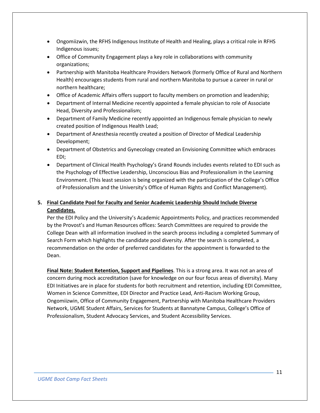- Ongomiizwin, the RFHS Indigenous Institute of Health and Healing, plays a critical role in RFHS Indigenous issues;
- Office of Community Engagement plays a key role in collaborations with community organizations;
- Partnership with Manitoba Healthcare Providers Network (formerly Office of Rural and Northern Health) encourages students from rural and northern Manitoba to pursue a career in rural or northern healthcare;
- Office of Academic Affairs offers support to faculty members on promotion and leadership;
- Department of Internal Medicine recently appointed a female physician to role of Associate Head, Diversity and Professionalism;
- Department of Family Medicine recently appointed an Indigenous female physician to newly created position of Indigenous Health Lead;
- Department of Anesthesia recently created a position of Director of Medical Leadership Development;
- Department of Obstetrics and Gynecology created an Envisioning Committee which embraces EDI;
- Department of Clinical Health Psychology's Grand Rounds includes events related to EDI such as the Psychology of Effective Leadership, Unconscious Bias and Professionalism in the Learning Environment. (This least session is being organized with the participation of the College's Office of Professionalism and the University's Office of Human Rights and Conflict Management).

## **5. Final Candidate Pool for Faculty and Senior Academic Leadership Should Include Diverse Candidates.**

Per the EDI Policy and the University's Academic Appointments Policy, and practices recommended by the Provost's and Human Resources offices: Search Committees are required to provide the College Dean with all information involved in the search process including a completed Summary of Search Form which highlights the candidate pool diversity. After the search is completed, a recommendation on the order of preferred candidates for the appointment is forwarded to the Dean.

**Final Note: Student Retention, Support and Pipelines**. This is a strong area. It was not an area of concern during mock accreditation (save for knowledge on our four focus areas of diversity). Many EDI Initiatives are in place for students for both recruitment and retention, including EDI Committee, Women in Science Committee, EDI Director and Practice Lead, Anti-Racism Working Group, Ongomiizwin, Office of Community Engagement, Partnership with Manitoba Healthcare Providers Network, UGME Student Affairs, Services for Students at Bannatyne Campus, College's Office of Professionalism, Student Advocacy Services, and Student Accessibility Services.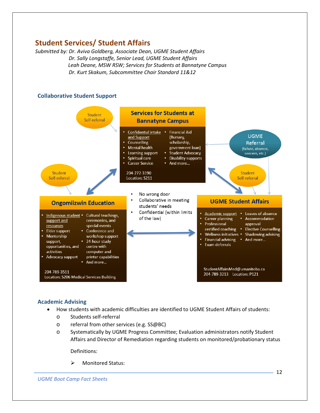# <span id="page-11-0"></span>**Student Services/ Student Affairs**

*Submitted by: Dr. Aviva Goldberg, Associate Dean, UGME Student Affairs Dr. Sally Longstaffe, Senior Lead, UGME Student Affairs Leah Deane, MSW RSW; Services for Students at Bannatyne Campus Dr. Kurt Skakum, Subcommittee Chair Standard 11&12*

## <span id="page-11-1"></span>**Collaborative Student Support**



## <span id="page-11-2"></span>**Academic Advising**

- How students with academic difficulties are identified to UGME Student Affairs of students:
	- o Students self-referral
	- o referral from other services (e.g. SS@BC)
	- o Systematically by UGME Progress Committee; Evaluation administrators notify Student Affairs and Director of Remediation regarding students on monitored/probationary status

Definitions:

> Monitored Status: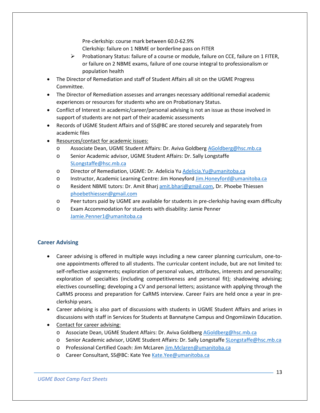Pre-clerkship: course mark between 60.0-62.9%

Clerkship: failure on 1 NBME or borderline pass on FITER

- $\triangleright$  Probationary Status: failure of a course or module, failure on CCE, failure on 1 FITER, or failure on 2 NBME exams, failure of one course integral to professionalism or population health
- The Director of Remediation and staff of Student Affairs all sit on the UGME Progress Committee.
- The Director of Remediation assesses and arranges necessary additional remedial academic experiences or resources for students who are on Probationary Status.
- Conflict of Interest in academic/career/personal advising is not an issue as those involved in support of students are not part of their academic assessments
- Records of UGME Student Affairs and of SS@BC are stored securely and separately from academic files
- Resources/contact for academic issues:
	- o Associate Dean, UGME Student Affairs: Dr. Aviva Goldberg [AGoldberg@hsc.mb.ca](mailto:AGoldberg@hsc.mb.ca)
	- o Senior Academic advisor, UGME Student Affairs: Dr. Sally Longstaffe [SLongstaffe@hsc.mb.ca](mailto:SLongstaffe@hsc.mb.ca)
	- o Director of Remediation, UGME: Dr. Adelicia Yu [Adelicia.Yu@umanitoba.ca](mailto:Adelicia.Yu@umanitoba.ca)
	- o Instructor, Academic Learning Centre: Jim Honeyfor[d Jim.Honeyford@umanitoba.ca](mailto:Jim.Honeyford@umanitoba.ca)
	- o Resident NBME tutors: Dr. Amit Bharj [amit.bharj@gmail.com,](mailto:amit.bharj@gmail.com) Dr. Phoebe Thiessen [phoebethiessen@gmail.com](mailto:phoebethiessen@gmail.com)
	- o Peer tutors paid by UGME are available for students in pre-clerkship having exam difficulty
	- o Exam Accommodation for students with disability: Jamie Penner [Jamie.Penner1@umanitoba.ca](mailto:Jamie.Penner1@umanitoba.ca)

## <span id="page-12-0"></span>**Career Advising**

- Career advising is offered in multiple ways including a new career planning curriculum, one-toone appointments offered to all students. The curricular content include, but are not limited to: self-reflective assignments; exploration of personal values, attributes, interests and personality; exploration of specialties (including competitiveness and personal fit); shadowing advising; electives counselling; developing a CV and personal letters; assistance with applying through the CaRMS process and preparation for CaRMS interview. Career Fairs are held once a year in preclerkship years.
- Career advising is also part of discussions with students in UGME Student Affairs and arises in discussions with staff in Services for Students at Bannatyne Campus and Ongomiizwin Education.
- Contact for career advising:
	- o Associate Dean, UGME Student Affairs: Dr. Aviva Goldberg [AGoldberg@hsc.mb.ca](mailto:AGoldberg@hsc.mb.ca)
	- o Senior Academic advisor, UGME Student Affairs: Dr. Sally Longstaffe [SLongstaffe@hsc.mb.ca](mailto:SLongstaffe@hsc.mb.ca)
	- o Professional Certified Coach: Jim McLaren [Jim.Mclaren@umanitoba.ca](mailto:Jim.Mclaren@umanitoba.ca)
	- o Career Consultant, SS@BC: Kate Ye[e Kate.Yee@umanitoba.ca](mailto:Kate.Yee@umanitoba.ca)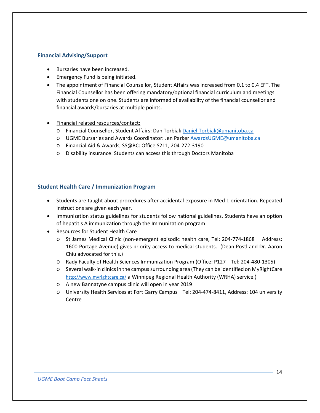## <span id="page-13-0"></span>**Financial Advising/Support**

- Bursaries have been increased.
- Emergency Fund is being initiated.
- The appointment of Financial Counsellor, Student Affairs was increased from 0.1 to 0.4 EFT. The Financial Counsellor has been offering mandatory/optional financial curriculum and meetings with students one on one. Students are informed of availability of the financial counsellor and financial awards/bursaries at multiple points.
- Financial related resources/contact:
	- o Financial Counsellor, Student Affairs: Dan Torbiak [Daniel.Torbiak@umanitoba.ca](mailto:Daniel.Torbiak@umanitoba.ca)
	- o UGME Bursaries and Awards Coordinator: Jen Parke[r AwardsUGME@umanitoba.ca](mailto:AwardsUGME@umanitoba.ca)
	- o Financial Aid & Awards, SS@BC: Office S211, 204-272-3190
	- o Disability insurance: Students can access this through Doctors Manitoba

## <span id="page-13-1"></span>**Student Health Care / Immunization Program**

- Students are taught about procedures after accidental exposure in Med 1 orientation. Repeated instructions are given each year.
- Immunization status guidelines for students follow national guidelines. Students have an option of hepatitis A immunization through the Immunization program
- Resources for Student Health Care
	- o St James Medical Clinic (non-emergent episodic health care, Tel: 204-774-1868 Address: 1600 Portage Avenue) gives priority access to medical students. (Dean Postl and Dr. Aaron Chiu advocated for this.)
	- o Rady Faculty of Health Sciences Immunization Program (Office: P127 Tel: 204-480-1305)
	- o Several walk-in clinics in the campus surrounding area (They can be identified on MyRightCare <http://www.myrightcare.ca/> a Winnipeg Regional Health Authority (WRHA) service.)
	- o A new Bannatyne campus clinic will open in year 2019
	- o University Health Services at Fort Garry Campus Tel: 204-474-8411, Address: 104 university Centre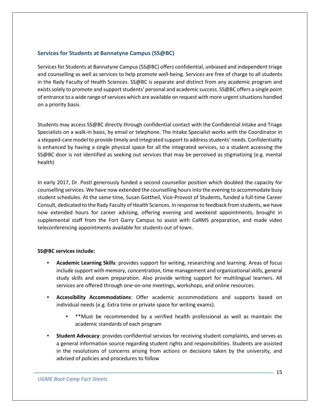## <span id="page-14-0"></span>**Services for Students at Bannatyne Campus (SS@BC)**

Services for Students at Bannatyne Campus (SS@BC) offers confidential, unbiased and independent triage and counselling as well as services to help promote well-being. Services are free of charge to all students in the Rady Faculty of Health Sciences. SS@BC is separate and distinct from any academic program and exists solely to promote and support students' personal and academic success. SS@BC offers a single point of entrance to a wide range of services which are available on request with more urgent situations handled on a priority basis.

Students may access SS@BC directly through confidential contact with the Confidential Intake and Triage Specialists on a walk-in basis, by email or telephone. The Intake Specialist works with the Coordinator in a stepped-care model to provide timely and integrated support to address students' needs. Confidentiality is enhanced by having a single physical space for all the integrated services, so a student accessing the SS@BC door is not identified as seeking out services that may be perceived as stigmatizing (e.g. mental health)

In early 2017, Dr. Postl generously funded a second counsellor position which doubled the capacity for counselling services. We have now extended the counselling hours into the evening to accommodate busy student schedules. At the same time, Susan Gottheil, Vice-Provost of Students, funded a full-time Career Consult, dedicated to the Rady Faculty of Health Sciences. In response to feedback from students, we have now extended hours for career advising, offering evening and weekend appointments, brought in supplemental staff from the Fort Garry Campus to assist with CaRMS preparation, and made video teleconferencing appointments available for students out of town.

## **SS@BC services include:**

- **Academic Learning Skills**: provides support for writing, researching and learning. Areas of focus include support with memory, concentration, time management and organizational skills, general study skills and exam preparation. Also provide writing support for multilingual learners. All services are offered through one-on-one meetings, workshops, and online resources.
- **Accessibility Accommodations**: Offer academic accommodations and supports based on individual needs (e.g. Extra time or private space for writing exams).
	- \*\*Must be recommended by a verified health professional as well as maintain the academic standards of each program
- **Student Advocacy**: provides confidential services for receiving student complaints, and serves as a general information source regarding student rights and responsibilities. Students are assisted in the resolutions of concerns arising from actions or decisions taken by the university, and advised of policies and procedures to follow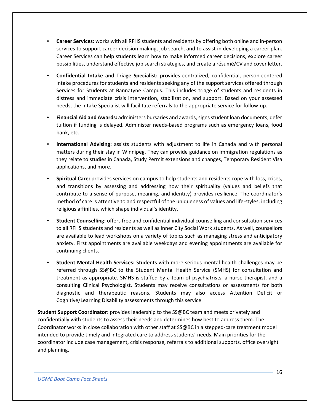- **Career Services:** works with all RFHS students and residents by offering both online and in-person services to support career decision making, job search, and to assist in developing a career plan. Career Services can help students learn how to make informed career decisions, explore career possibilities, understand effective job search strategies, and create a résumé/CV and cover letter.
- **Confidential Intake and Triage Specialist:** provides centralized, confidential, person-centered intake procedures for students and residents seeking any of the support services offered through Services for Students at Bannatyne Campus. This includes triage of students and residents in distress and immediate crisis intervention, stabilization, and support. Based on your assessed needs, the Intake Specialist will facilitate referrals to the appropriate service for follow-up.
- **Financial Aid and Awards:** administers bursaries and awards, signs student loan documents, defer tuition if funding is delayed. Administer needs-based programs such as emergency loans, food bank, etc.
- **International Advising:** assists students with adjustment to life in Canada and with personal matters during their stay in Winnipeg. They can provide guidance on immigration regulations as they relate to studies in Canada, Study Permit extensions and changes, Temporary Resident Visa applications, and more.
- **Spiritual Care:** provides services on campus to help students and residents cope with loss, crises, and transitions by assessing and addressing how their spirituality (values and beliefs that contribute to a sense of purpose, meaning, and identity) provides resilience. The coordinator's method of care is attentive to and respectful of the uniqueness of values and life-styles, including religious affinities, which shape individual's identity.
- **Student Counselling:** offers free and confidential individual counselling and consultation services to all RFHS students and residents as well as Inner City Social Work students. As well, counsellors are available to lead workshops on a variety of topics such as managing stress and anticipatory anxiety. First appointments are available weekdays and evening appointments are available for continuing clients.
- **Student Mental Health Services:** Students with more serious mental health challenges may be referred through SS@BC to the Student Mental Health Service (SMHS) for consultation and treatment as appropriate. SMHS is staffed by a team of psychiatrists, a nurse therapist, and a consulting Clinical Psychologist. Students may receive consultations or assessments for both diagnostic and therapeutic reasons. Students may also access Attention Deficit or Cognitive/Learning Disability assessments through this service.

**Student Support Coordinator**: provides leadership to the SS@BC team and meets privately and confidentially with students to assess their needs and determines how best to address them. The Coordinator works in close collaboration with other staff at SS@BC in a stepped-care treatment model intended to provide timely and integrated care to address students' needs. Main priorities for the coordinator include case management, crisis response, referrals to additional supports, office oversight and planning.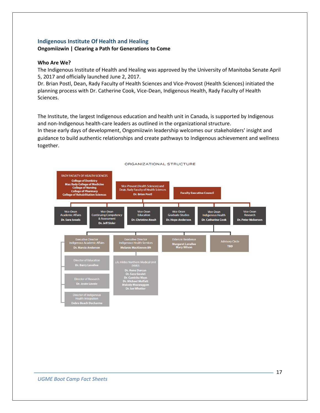## <span id="page-16-0"></span>**Indigenous Institute Of Health and Healing Ongomiizwin | Clearing a Path for Generations to Come**

#### **Who Are We?**

The Indigenous Institute of Health and Healing was approved by the University of Manitoba Senate April 5, 2017 and officially launched June 2, 2017.

Dr. Brian Postl, Dean, Rady Faculty of Health Sciences and Vice-Provost (Health Sciences) initiated the planning process with Dr. Catherine Cook, Vice-Dean, Indigenous Health, Rady Faculty of Health Sciences.

The Institute, the largest Indigenous education and health unit in Canada, is supported by Indigenous and non-Indigenous health-care leaders as outlined in the organizational structure.

In these early days of development, Ongomiizwin leadership welcomes our stakeholders' insight and guidance to build authentic relationships and create pathways to Indigenous achievement and wellness together.

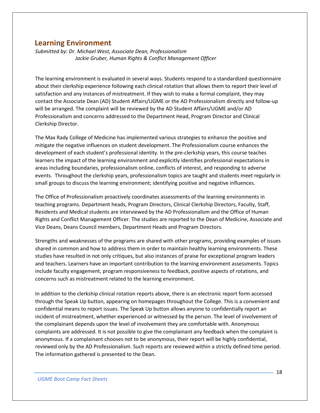## <span id="page-17-0"></span>**Learning Environment**

*Submitted by: Dr. Michael West, Associate Dean, Professionalism Jackie Gruber, Human Rights & Conflict Management Officer*

The learning environment is evaluated in several ways. Students respond to a standardized questionnaire about their clerkship experience following each clinical rotation that allows them to report their level of satisfaction and any instances of mistreatment. If they wish to make a formal complaint, they may contact the Associate Dean (AD) Student Affairs/UGME or the AD Professionalism directly and follow-up will be arranged. The complaint will be reviewed by the AD Student Affairs/UGME and/or AD Professionalism and concerns addressed to the Department Head, Program Director and Clinical Clerkship Director.

The Max Rady College of Medicine has implemented various strategies to enhance the positive and mitigate the negative influences on student development. The Professionalism course enhances the development of each student's professional identity. In the pre-clerkship years, this course teaches learners the impact of the learning environment and explicitly identifies professional expectations in areas including boundaries, professionalism online, conflicts of interest, and responding to adverse events. Throughout the clerkship years, professionalism topics are taught and students meet regularly in small groups to discuss the learning environment; identifying positive and negative influences.

The Office of Professionalism proactively coordinates assessments of the learning environments in teaching programs. Department heads, Program Directors, Clinical Clerkship Directors, Faculty, Staff, Residents and Medical students are interviewed by the AD Professionalism and the Office of Human Rights and Conflict Management Officer. The studies are reported to the Dean of Medicine, Associate and Vice Deans, Deans Council members, Department Heads and Program Directors.

Strengths and weaknesses of the programs are shared with other programs, providing examples of issues shared in common and how to address them in order to maintain healthy learning environments. These studies have resulted in not only critiques, but also instances of praise for exceptional program leaders and teachers. Learners have an important contribution to the learning environment assessments. Topics include faculty engagement, program responsiveness to feedback, positive aspects of rotations, and concerns such as mistreatment related to the learning environment.

In addition to the clerkship clinical rotation reports above, there is an electronic report form accessed through the Speak Up button, appearing on homepages throughout the College. This is a convenient and confidential means to report issues. The Speak Up button allows anyone to confidentially report an incident of mistreatment, whether experienced or witnessed by the person. The level of involvement of the complainant depends upon the level of involvement they are comfortable with. Anonymous complaints are addressed. It is not possible to give the complainant any feedback when the complaint is anonymous. If a complainant chooses not to be anonymous, their report will be highly confidential, reviewed only by the AD Professionalism. Such reports are reviewed within a strictly defined time period. The information gathered is presented to the Dean.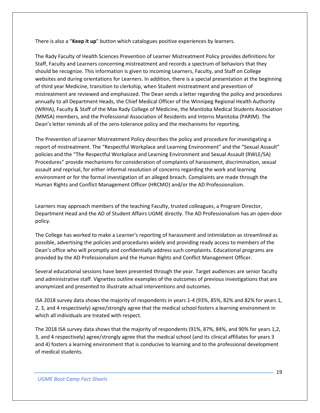There is also a "**Keep it up**" button which catalogues positive experiences by learners.

The Rady Faculty of Health Sciences Prevention of Learner Mistreatment Policy provides definitions for Staff, Faculty and Learners concerning mistreatment and records a spectrum of behaviors that they should be recognize. This information is given to incoming Learners, Faculty, and Staff on College websites and during orientations for Learners. In addition, there is a special presentation at the beginning of third year Medicine, transition to clerkship, when Student mistreatment and prevention of mistreatment are reviewed and emphasized. The Dean sends a letter regarding the policy and procedures annually to all Department Heads, the Chief Medical Officer of the Winnipeg Regional Health Authority (WRHA), Faculty & Staff of the Max Rady College of Medicine, the Manitoba Medical Students Association (MMSA) members, and the Professional Association of Residents and Interns Manitoba (PARIM). The Dean's letter reminds all of the zero-tolerance policy and the mechanisms for reporting.

The Prevention of Learner Mistreatment Policy describes the policy and procedure for investigating a report of mistreatment. The "Respectful Workplace and Learning Environment" and the "Sexual Assault" policies and the "The Respectful Workplace and Learning Environment and Sexual Assault (RWLE/SA) Procedures" provide mechanisms for consideration of complaints of harassment, discrimination, sexual assault and reprisal, for either informal resolution of concerns regarding the work and learning environment or for the formal investigation of an alleged breach. Complaints are made through the Human Rights and Conflict Management Officer (HRCMO) and/or the AD Professionalism.

Learners may approach members of the teaching Faculty, trusted colleagues, a Program Director, Department Head and the AD of Student Affairs UGME directly. The AD Professionalism has an open-door policy.

The College has worked to make a Learner's reporting of harassment and intimidation as streamlined as possible, advertising the policies and procedures widely and providing ready access to members of the Dean's office who will promptly and confidentially address such complaints. Educational programs are provided by the AD Professionalism and the Human Rights and Conflict Management Officer.

Several educational sessions have been presented through the year. Target audiences are senior faculty and administrative staff. Vignettes outline examples of the outcomes of previous investigations that are anonymized and presented to illustrate actual interventions and outcomes.

ISA 2018 survey data shows the majority of respondents in years 1-4 (93%, 85%, 82% and 82% for years 1, 2, 3, and 4 respectively) agree/strongly agree that the medical school fosters a learning environment in which all individuals are treated with respect.

The 2018 ISA survey data shows that the majority of respondents (91%, 87%, 84%, and 90% for years 1,2, 3, and 4 respectively) agree/strongly agree that the medical school (and its clinical affiliates for years 3 and 4) fosters a learning environment that is conducive to learning and to the professional development of medical students.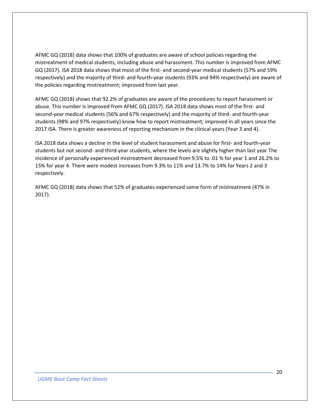AFMC GQ (2018) data shows that 100% of graduates are aware of school policies regarding the mistreatment of medical students, including abuse and harassment. This number is improved from AFMC GQ (2017). ISA 2018 data shows that most of the first- and second-year medical students (57% and 59% respectively) and the majority of third- and fourth-year students (93% and 94% respectively) are aware of the policies regarding mistreatment; improved from last year.

AFMC GQ (2018) shows that 92.2% of graduates are aware of the procedures to report harassment or abuse. This number is improved from AFMC GQ (2017). ISA 2018 data shows most of the first- and second-year medical students (56% and 67% respectively) and the majority of third- and fourth-year students (98% and 97% respectively) know how to report mistreatment; improved in all years since the 2017 ISA. There is greater awareness of reporting mechanism in the clinical years (Year 3 and 4).

ISA 2018 data shows a decline in the level of student harassment and abuse for first- and fourth-year students but not second- and third-year students, where the levels are slightly higher than last year The incidence of personally experienced mistreatment decreased from 9.5% to .01 % for year 1 and 26.2% to 15% for year 4. There were modest increases from 9.3% to 11% and 13.7% to 14% for Years 2 and 3 respectively.

AFMC GQ (2018) data shows that 52% of graduates experienced some form of mistreatment (47% in 2017).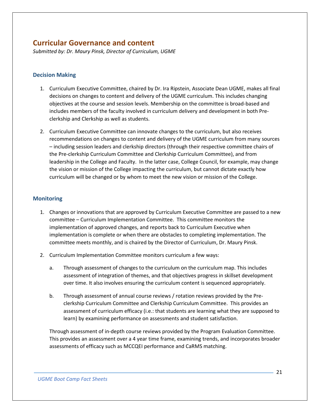# <span id="page-20-0"></span>**Curricular Governance and content**

*Submitted by: Dr. Maury Pinsk, Director of Curriculum, UGME*

## <span id="page-20-1"></span>**Decision Making**

- 1. Curriculum Executive Committee, chaired by Dr. Ira Ripstein, Associate Dean UGME, makes all final decisions on changes to content and delivery of the UGME curriculum. This includes changing objectives at the course and session levels. Membership on the committee is broad-based and includes members of the faculty involved in curriculum delivery and development in both Preclerkship and Clerkship as well as students.
- 2. Curriculum Executive Committee can innovate changes to the curriculum, but also receives recommendations on changes to content and delivery of the UGME curriculum from many sources – including session leaders and clerkship directors (through their respective committee chairs of the Pre-clerkship Curriculum Committee and Clerkship Curriculum Committee), and from leadership in the College and Faculty. In the latter case, College Council, for example, may change the vision or mission of the College impacting the curriculum, but cannot dictate exactly how curriculum will be changed or by whom to meet the new vision or mission of the College.

## <span id="page-20-2"></span>**Monitoring**

- 1. Changes or innovations that are approved by Curriculum Executive Committee are passed to a new committee – Curriculum Implementation Committee. This committee monitors the implementation of approved changes, and reports back to Curriculum Executive when implementation is complete or when there are obstacles to completing implementation. The committee meets monthly, and is chaired by the Director of Curriculum, Dr. Maury Pinsk.
- 2. Curriculum Implementation Committee monitors curriculum a few ways:
	- a. Through assessment of changes to the curriculum on the curriculum map. This includes assessment of integration of themes, and that objectives progress in skillset development over time. It also involves ensuring the curriculum content is sequenced appropriately.
	- b. Through assessment of annual course reviews / rotation reviews provided by the Preclerkship Curriculum Committee and Clerkship Curriculum Committee. This provides an assessment of curriculum efficacy (i.e.: that students are learning what they are supposed to learn) by examining performance on assessments and student satisfaction.

Through assessment of in-depth course reviews provided by the Program Evaluation Committee. This provides an assessment over a 4 year time frame, examining trends, and incorporates broader assessments of efficacy such as MCCQEI performance and CaRMS matching.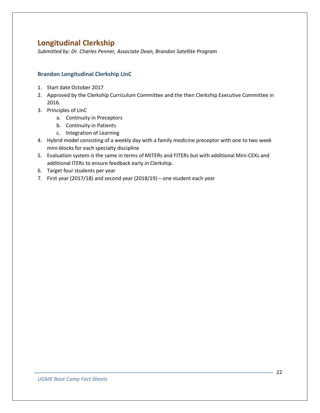# <span id="page-21-0"></span>**Longitudinal Clerkship**

*Submitted by: Dr. Charles Penner, Associate Dean, Brandon Satellite Program*

## <span id="page-21-1"></span>**Brandon Longitudinal Clerkship LInC**

- 1. Start date October 2017
- 2. Approved by the Clerkship Curriculum Committee and the then Clerkship Executive Committee in 2016.
- 3. Principles of LInC
	- a. Continuity in Preceptors
	- b. Continuity in Patients
	- c. Integration of Learning
- 4. Hybrid model consisting of a weekly day with a family medicine preceptor with one to two week mini-blocks for each specialty discipline
- 5. Evaluation system is the same in terms of MITERs and FITERs but with additional Mini-CEXs and additional ITERs to ensure feedback early in Clerkship.
- 6. Target four students per year
- 7. First year (2017/18) and second year (2018/19) one student each year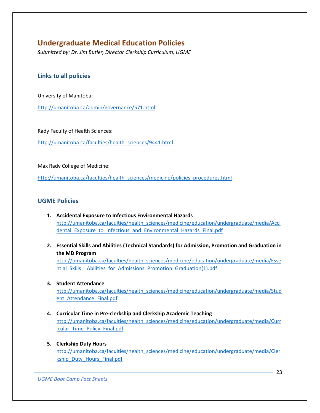# <span id="page-22-0"></span>**Undergraduate Medical Education Policies**

*Submitted by: Dr. Jim Butler, Director Clerkship Curriculum, UGME*

## <span id="page-22-1"></span>**Links to all policies**

University of Manitoba:

<http://umanitoba.ca/admin/governance/571.html>

Rady Faculty of Health Sciences:

[http://umanitoba.ca/faculties/health\\_sciences/9441.html](http://umanitoba.ca/faculties/health_sciences/9441.html)

Max Rady College of Medicine:

[http://umanitoba.ca/faculties/health\\_sciences/medicine/policies\\_procedures.html](http://umanitoba.ca/faculties/health_sciences/medicine/policies_procedures.html)

## <span id="page-22-2"></span>**UGME Policies**

- **1. Accidental Exposure to Infectious Environmental Hazards** [http://umanitoba.ca/faculties/health\\_sciences/medicine/education/undergraduate/media/Acci](http://umanitoba.ca/faculties/health_sciences/medicine/education/undergraduate/media/Accidental_Exposure_to_Infectious_and_Environmental_Hazards_Final.pdf) dental Exposure to Infectious and Environmental Hazards Final.pdf
- **2. Essential Skills and Abilities (Technical Standards) for Admission, Promotion and Graduation in the MD Program**

[http://umanitoba.ca/faculties/health\\_sciences/medicine/education/undergraduate/media/Esse](http://umanitoba.ca/faculties/health_sciences/medicine/education/undergraduate/media/Essential_Skills__Abilities_for_Admissions_Promotion_Graduation(1).pdf) ntial Skills Abilities for Admissions Promotion Graduation(1).pdf

## **3. Student Attendance**

[http://umanitoba.ca/faculties/health\\_sciences/medicine/education/undergraduate/media/Stud](http://umanitoba.ca/faculties/health_sciences/medicine/education/undergraduate/media/Student_Attendance_Final.pdf) ent Attendance Final.pdf

- **4. Curricular Time in Pre-clerkship and Clerkship Academic Teaching** [http://umanitoba.ca/faculties/health\\_sciences/medicine/education/undergraduate/media/Curr](http://umanitoba.ca/faculties/health_sciences/medicine/education/undergraduate/media/Curricular_Time_Policy_Final.pdf) [icular\\_Time\\_Policy\\_Final.pdf](http://umanitoba.ca/faculties/health_sciences/medicine/education/undergraduate/media/Curricular_Time_Policy_Final.pdf)
- **5. Clerkship Duty Hours** [http://umanitoba.ca/faculties/health\\_sciences/medicine/education/undergraduate/media/Cler](http://umanitoba.ca/faculties/health_sciences/medicine/education/undergraduate/media/Clerkship_Duty_Hours_Final.pdf) [kship\\_Duty\\_Hours\\_Final.pdf](http://umanitoba.ca/faculties/health_sciences/medicine/education/undergraduate/media/Clerkship_Duty_Hours_Final.pdf)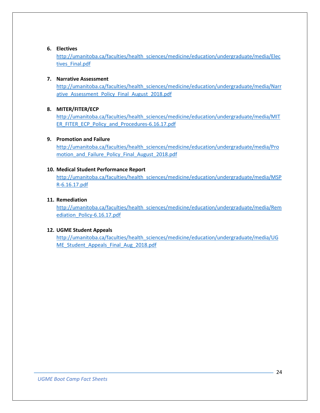## **6. Electives**

[http://umanitoba.ca/faculties/health\\_sciences/medicine/education/undergraduate/media/Elec](http://umanitoba.ca/faculties/health_sciences/medicine/education/undergraduate/media/Electives_Final.pdf) [tives\\_Final.pdf](http://umanitoba.ca/faculties/health_sciences/medicine/education/undergraduate/media/Electives_Final.pdf)

#### **7. Narrative Assessment**

[http://umanitoba.ca/faculties/health\\_sciences/medicine/education/undergraduate/media/Narr](http://umanitoba.ca/faculties/health_sciences/medicine/education/undergraduate/media/Narrative_Assessment_Policy_Final_August_2018.pdf) ative Assessment Policy Final August 2018.pdf

## **8. MITER/FITER/ECP**

[http://umanitoba.ca/faculties/health\\_sciences/medicine/education/undergraduate/media/MIT](http://umanitoba.ca/faculties/health_sciences/medicine/education/undergraduate/media/MITER_FITER_ECP_Policy_and_Procedures-6.16.17.pdf) [ER\\_FITER\\_ECP\\_Policy\\_and\\_Procedures-6.16.17.pdf](http://umanitoba.ca/faculties/health_sciences/medicine/education/undergraduate/media/MITER_FITER_ECP_Policy_and_Procedures-6.16.17.pdf)

## **9. Promotion and Failure**

[http://umanitoba.ca/faculties/health\\_sciences/medicine/education/undergraduate/media/Pro](http://umanitoba.ca/faculties/health_sciences/medicine/education/undergraduate/media/Promotion_and_Failure_Policy_Final_August_2018.pdf) [motion\\_and\\_Failure\\_Policy\\_Final\\_August\\_2018.pdf](http://umanitoba.ca/faculties/health_sciences/medicine/education/undergraduate/media/Promotion_and_Failure_Policy_Final_August_2018.pdf)

## **10. Medical Student Performance Report**

[http://umanitoba.ca/faculties/health\\_sciences/medicine/education/undergraduate/media/MSP](http://umanitoba.ca/faculties/health_sciences/medicine/education/undergraduate/media/MSPR-6.16.17.pdf) [R-6.16.17.pdf](http://umanitoba.ca/faculties/health_sciences/medicine/education/undergraduate/media/MSPR-6.16.17.pdf)

## **11. Remediation**

[http://umanitoba.ca/faculties/health\\_sciences/medicine/education/undergraduate/media/Rem](http://umanitoba.ca/faculties/health_sciences/medicine/education/undergraduate/media/Remediation_Policy-6.16.17.pdf) [ediation\\_Policy-6.16.17.pdf](http://umanitoba.ca/faculties/health_sciences/medicine/education/undergraduate/media/Remediation_Policy-6.16.17.pdf)

## **12. UGME Student Appeals**

[http://umanitoba.ca/faculties/health\\_sciences/medicine/education/undergraduate/media/UG](http://umanitoba.ca/faculties/health_sciences/medicine/education/undergraduate/media/UGME_Student_Appeals_Final_Aug_2018.pdf) [ME\\_Student\\_Appeals\\_Final\\_Aug\\_2018.pdf](http://umanitoba.ca/faculties/health_sciences/medicine/education/undergraduate/media/UGME_Student_Appeals_Final_Aug_2018.pdf)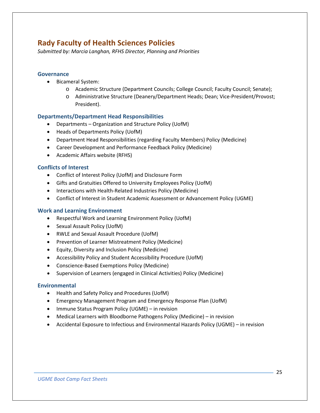# <span id="page-24-0"></span>**Rady Faculty of Health Sciences Policies**

*Submitted by: Marcia Langhan, RFHS Director, Planning and Priorities*

## <span id="page-24-1"></span>**Governance**

- Bicameral System:
	- o Academic Structure (Department Councils; College Council; Faculty Council; Senate);
	- o Administrative Structure (Deanery/Department Heads; Dean; Vice-President/Provost; President).

## <span id="page-24-2"></span>**Departments/Department Head Responsibilities**

- Departments Organization and Structure Policy (UofM)
- Heads of Departments Policy (UofM)
- Department Head Responsibilities (regarding Faculty Members) Policy (Medicine)
- Career Development and Performance Feedback Policy (Medicine)
- Academic Affairs website (RFHS)

## <span id="page-24-3"></span>**Conflicts of Interest**

- Conflict of Interest Policy (UofM) and Disclosure Form
- Gifts and Gratuities Offered to University Employees Policy (UofM)
- Interactions with Health-Related Industries Policy (Medicine)
- Conflict of Interest in Student Academic Assessment or Advancement Policy (UGME)

## <span id="page-24-4"></span>**Work and Learning Environment**

- Respectful Work and Learning Environment Policy (UofM)
- Sexual Assault Policy (UofM)
- RWLE and Sexual Assault Procedure (UofM)
- Prevention of Learner Mistreatment Policy (Medicine)
- Equity, Diversity and Inclusion Policy (Medicine)
- Accessibility Policy and Student Accessibility Procedure (UofM)
- Conscience-Based Exemptions Policy (Medicine)
- Supervision of Learners (engaged in Clinical Activities) Policy (Medicine)

## <span id="page-24-5"></span>**Environmental**

- Health and Safety Policy and Procedures (UofM)
- Emergency Management Program and Emergency Response Plan (UofM)
- Immune Status Program Policy (UGME) in revision
- Medical Learners with Bloodborne Pathogens Policy (Medicine) in revision
- Accidental Exposure to Infectious and Environmental Hazards Policy (UGME) in revision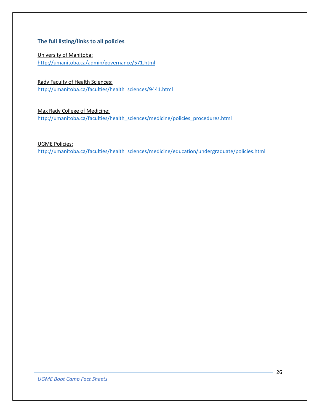## <span id="page-25-0"></span>**The full listing/links to all policies**

University of Manitoba: <http://umanitoba.ca/admin/governance/571.html>

Rady Faculty of Health Sciences: [http://umanitoba.ca/faculties/health\\_sciences/9441.html](http://umanitoba.ca/faculties/health_sciences/9441.html)

Max Rady College of Medicine: [http://umanitoba.ca/faculties/health\\_sciences/medicine/policies\\_procedures.html](http://umanitoba.ca/faculties/health_sciences/medicine/policies_procedures.html)

UGME Policies:

[http://umanitoba.ca/faculties/health\\_sciences/medicine/education/undergraduate/policies.html](http://umanitoba.ca/faculties/health_sciences/medicine/education/undergraduate/policies.html)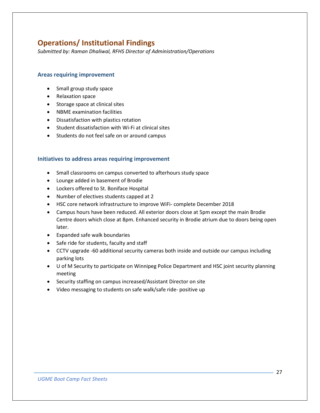# <span id="page-26-0"></span>**Operations/ Institutional Findings**

*Submitted by: Raman Dhaliwal, RFHS Director of Administration/Operations*

## <span id="page-26-1"></span>**Areas requiring improvement**

- Small group study space
- Relaxation space
- Storage space at clinical sites
- NBME examination facilities
- Dissatisfaction with plastics rotation
- Student dissatisfaction with Wi-Fi at clinical sites
- Students do not feel safe on or around campus

## <span id="page-26-2"></span>**Initiatives to address areas requiring improvement**

- Small classrooms on campus converted to afterhours study space
- Lounge added in basement of Brodie
- Lockers offered to St. Boniface Hospital
- Number of electives students capped at 2
- HSC core network infrastructure to improve WiFi- complete December 2018
- Campus hours have been reduced. All exterior doors close at 5pm except the main Brodie Centre doors which close at 8pm. Enhanced security in Brodie atrium due to doors being open later.
- Expanded safe walk boundaries
- Safe ride for students, faculty and staff
- CCTV upgrade -60 additional security cameras both inside and outside our campus including parking lots
- U of M Security to participate on Winnipeg Police Department and HSC joint security planning meeting
- Security staffing on campus increased/Assistant Director on site
- Video messaging to students on safe walk/safe ride- positive up